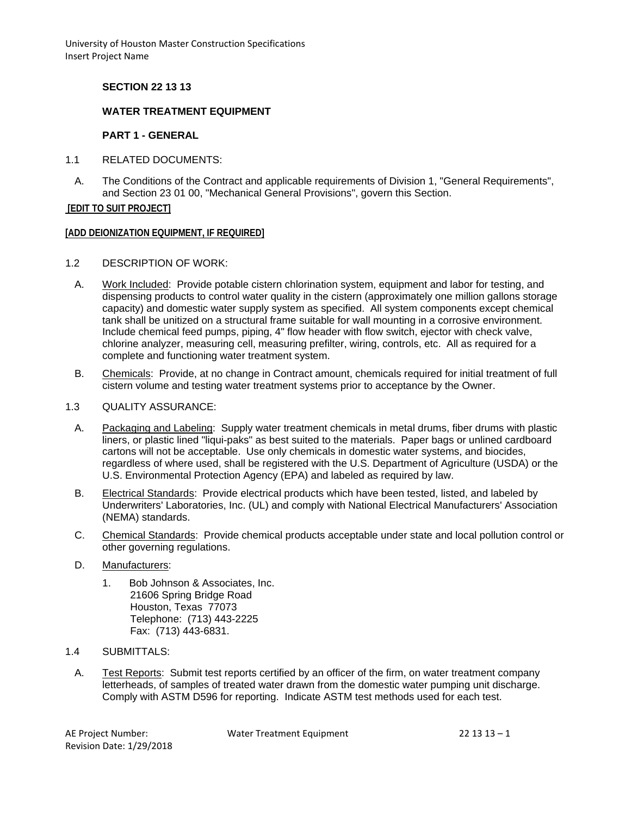## **SECTION 22 13 13**

# **WATER TREATMENT EQUIPMENT**

#### **PART 1 - GENERAL**

- 1.1 RELATED DOCUMENTS:
	- A. The Conditions of the Contract and applicable requirements of Division 1, "General Requirements", and Section 23 01 00, "Mechanical General Provisions", govern this Section.

**[EDIT TO SUIT PROJECT]**

#### **[ADD DEIONIZATION EQUIPMENT, IF REQUIRED]**

- 1.2 DESCRIPTION OF WORK:
	- A. Work Included: Provide potable cistern chlorination system, equipment and labor for testing, and dispensing products to control water quality in the cistern (approximately one million gallons storage capacity) and domestic water supply system as specified. All system components except chemical tank shall be unitized on a structural frame suitable for wall mounting in a corrosive environment. Include chemical feed pumps, piping, 4" flow header with flow switch, ejector with check valve, chlorine analyzer, measuring cell, measuring prefilter, wiring, controls, etc. All as required for a complete and functioning water treatment system.
- B. Chemicals: Provide, at no change in Contract amount, chemicals required for initial treatment of full cistern volume and testing water treatment systems prior to acceptance by the Owner.
- 1.3 QUALITY ASSURANCE:
	- A. Packaging and Labeling: Supply water treatment chemicals in metal drums, fiber drums with plastic liners, or plastic lined "liqui-paks" as best suited to the materials. Paper bags or unlined cardboard cartons will not be acceptable. Use only chemicals in domestic water systems, and biocides, regardless of where used, shall be registered with the U.S. Department of Agriculture (USDA) or the U.S. Environmental Protection Agency (EPA) and labeled as required by law.
	- B. Electrical Standards: Provide electrical products which have been tested, listed, and labeled by Underwriters' Laboratories, Inc. (UL) and comply with National Electrical Manufacturers' Association (NEMA) standards.
	- C. Chemical Standards: Provide chemical products acceptable under state and local pollution control or other governing regulations.
	- D. Manufacturers:
		- 1. Bob Johnson & Associates, Inc. 21606 Spring Bridge Road Houston, Texas 77073 Telephone: (713) 443-2225 Fax: (713) 443-6831.
- 1.4 SUBMITTALS:
	- A. Test Reports: Submit test reports certified by an officer of the firm, on water treatment company letterheads, of samples of treated water drawn from the domestic water pumping unit discharge. Comply with ASTM D596 for reporting. Indicate ASTM test methods used for each test.

Revision Date: 1/29/2018

AE Project Number: Water Treatment Equipment 22 13 13 - 1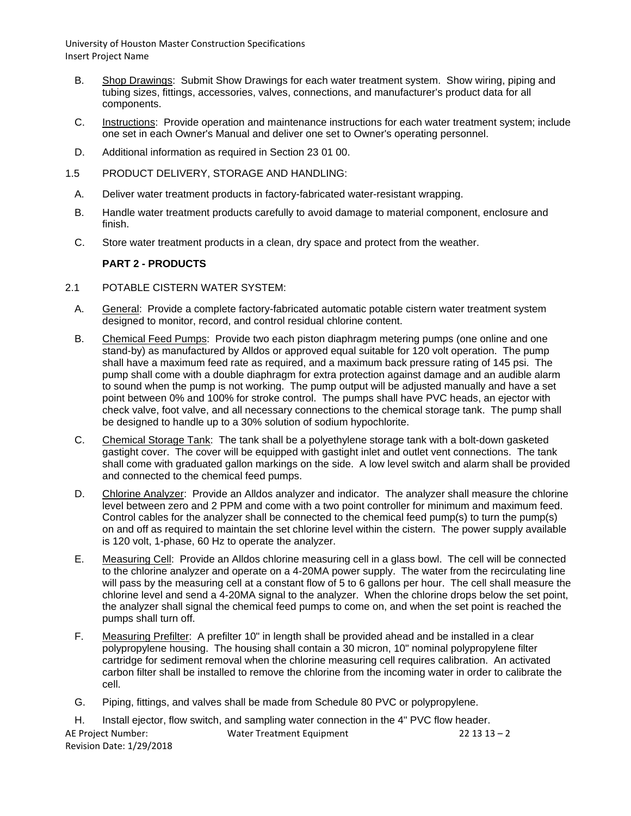- B. Shop Drawings: Submit Show Drawings for each water treatment system. Show wiring, piping and tubing sizes, fittings, accessories, valves, connections, and manufacturer's product data for all components.
- C. Instructions: Provide operation and maintenance instructions for each water treatment system; include one set in each Owner's Manual and deliver one set to Owner's operating personnel.
- D. Additional information as required in Section 23 01 00.
- 1.5 PRODUCT DELIVERY, STORAGE AND HANDLING:
	- A. Deliver water treatment products in factory-fabricated water-resistant wrapping.
	- B. Handle water treatment products carefully to avoid damage to material component, enclosure and finish.
	- C. Store water treatment products in a clean, dry space and protect from the weather.

## **PART 2 - PRODUCTS**

- 2.1 POTABLE CISTERN WATER SYSTEM:
	- A. General: Provide a complete factory-fabricated automatic potable cistern water treatment system designed to monitor, record, and control residual chlorine content.
	- B. Chemical Feed Pumps: Provide two each piston diaphragm metering pumps (one online and one stand-by) as manufactured by Alldos or approved equal suitable for 120 volt operation. The pump shall have a maximum feed rate as required, and a maximum back pressure rating of 145 psi. The pump shall come with a double diaphragm for extra protection against damage and an audible alarm to sound when the pump is not working. The pump output will be adjusted manually and have a set point between 0% and 100% for stroke control. The pumps shall have PVC heads, an ejector with check valve, foot valve, and all necessary connections to the chemical storage tank. The pump shall be designed to handle up to a 30% solution of sodium hypochlorite.
	- C. Chemical Storage Tank: The tank shall be a polyethylene storage tank with a bolt-down gasketed gastight cover. The cover will be equipped with gastight inlet and outlet vent connections. The tank shall come with graduated gallon markings on the side. A low level switch and alarm shall be provided and connected to the chemical feed pumps.
	- D. Chlorine Analyzer: Provide an Alldos analyzer and indicator. The analyzer shall measure the chlorine level between zero and 2 PPM and come with a two point controller for minimum and maximum feed. Control cables for the analyzer shall be connected to the chemical feed pump(s) to turn the pump(s) on and off as required to maintain the set chlorine level within the cistern. The power supply available is 120 volt, 1-phase, 60 Hz to operate the analyzer.
	- E. Measuring Cell: Provide an Alldos chlorine measuring cell in a glass bowl. The cell will be connected to the chlorine analyzer and operate on a 4-20MA power supply. The water from the recirculating line will pass by the measuring cell at a constant flow of 5 to 6 gallons per hour. The cell shall measure the chlorine level and send a 4-20MA signal to the analyzer. When the chlorine drops below the set point, the analyzer shall signal the chemical feed pumps to come on, and when the set point is reached the pumps shall turn off.
	- F. Measuring Prefilter: A prefilter 10" in length shall be provided ahead and be installed in a clear polypropylene housing. The housing shall contain a 30 micron, 10" nominal polypropylene filter cartridge for sediment removal when the chlorine measuring cell requires calibration. An activated carbon filter shall be installed to remove the chlorine from the incoming water in order to calibrate the cell.
	- G. Piping, fittings, and valves shall be made from Schedule 80 PVC or polypropylene.

|                          | Install ejector, flow switch, and sampling water connection in the 4" PVC flow header. |              |
|--------------------------|----------------------------------------------------------------------------------------|--------------|
| AE Project Number:       | Water Treatment Equipment                                                              | $221313 - 2$ |
| Revision Date: 1/29/2018 |                                                                                        |              |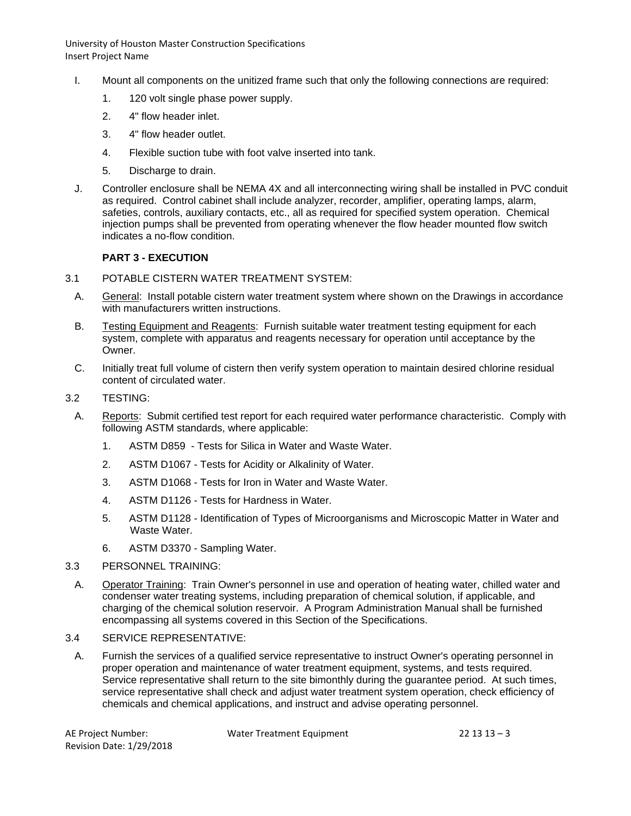- I. Mount all components on the unitized frame such that only the following connections are required:
	- 1. 120 volt single phase power supply.
	- 2. 4" flow header inlet.
	- 3. 4" flow header outlet.
	- 4. Flexible suction tube with foot valve inserted into tank.
	- 5. Discharge to drain.
- J. Controller enclosure shall be NEMA 4X and all interconnecting wiring shall be installed in PVC conduit as required. Control cabinet shall include analyzer, recorder, amplifier, operating lamps, alarm, safeties, controls, auxiliary contacts, etc., all as required for specified system operation. Chemical injection pumps shall be prevented from operating whenever the flow header mounted flow switch indicates a no-flow condition.

# **PART 3 - EXECUTION**

- 3.1 POTABLE CISTERN WATER TREATMENT SYSTEM:
	- A. General: Install potable cistern water treatment system where shown on the Drawings in accordance with manufacturers written instructions.
	- B. Testing Equipment and Reagents: Furnish suitable water treatment testing equipment for each system, complete with apparatus and reagents necessary for operation until acceptance by the Owner.
	- C. Initially treat full volume of cistern then verify system operation to maintain desired chlorine residual content of circulated water.
- 3.2 TESTING:
	- A. Reports: Submit certified test report for each required water performance characteristic. Comply with following ASTM standards, where applicable:
		- 1. ASTM D859 Tests for Silica in Water and Waste Water.
		- 2. ASTM D1067 Tests for Acidity or Alkalinity of Water.
		- 3. ASTM D1068 Tests for Iron in Water and Waste Water.
		- 4. ASTM D1126 Tests for Hardness in Water.
		- 5. ASTM D1128 Identification of Types of Microorganisms and Microscopic Matter in Water and Waste Water.
		- 6. ASTM D3370 Sampling Water.
- 3.3 PERSONNEL TRAINING:
- A. Operator Training: Train Owner's personnel in use and operation of heating water, chilled water and condenser water treating systems, including preparation of chemical solution, if applicable, and charging of the chemical solution reservoir. A Program Administration Manual shall be furnished encompassing all systems covered in this Section of the Specifications.

#### 3.4 SERVICE REPRESENTATIVE:

A. Furnish the services of a qualified service representative to instruct Owner's operating personnel in proper operation and maintenance of water treatment equipment, systems, and tests required. Service representative shall return to the site bimonthly during the guarantee period. At such times, service representative shall check and adjust water treatment system operation, check efficiency of chemicals and chemical applications, and instruct and advise operating personnel.